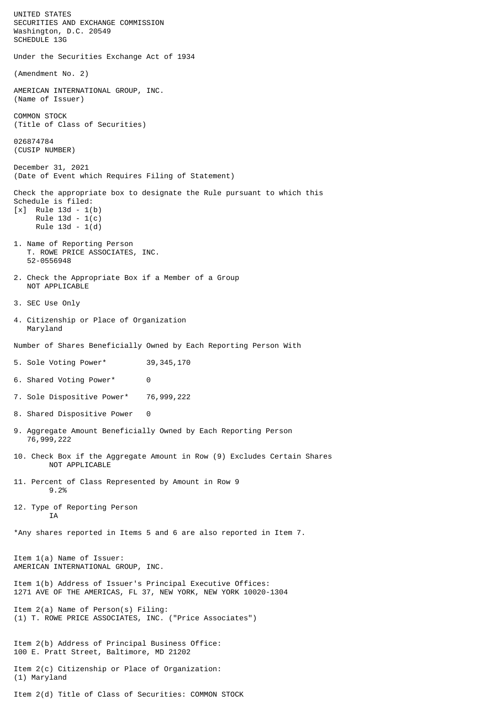UNITED STATES SECURITIES AND EXCHANGE COMMISSION Washington, D.C. 20549 SCHEDULE 13G Under the Securities Exchange Act of 1934 (Amendment No. 2) AMERICAN INTERNATIONAL GROUP, INC. (Name of Issuer) COMMON STOCK (Title of Class of Securities) 026874784 (CUSIP NUMBER) December 31, 2021 (Date of Event which Requires Filing of Statement) Check the appropriate box to designate the Rule pursuant to which this Schedule is filed: [x] Rule 13d - 1(b) Rule 13d - 1(c) Rule 13d - 1(d) 1. Name of Reporting Person T. ROWE PRICE ASSOCIATES, INC. 52-0556948 2. Check the Appropriate Box if a Member of a Group NOT APPLICABLE 3. SEC Use Only 4. Citizenship or Place of Organization Maryland Number of Shares Beneficially Owned by Each Reporting Person With 5. Sole Voting Power\* 39,345,170 6. Shared Voting Power\* 0 7. Sole Dispositive Power\* 76,999,222 8. Shared Dispositive Power 0 9. Aggregate Amount Beneficially Owned by Each Reporting Person 76,999,222 10. Check Box if the Aggregate Amount in Row (9) Excludes Certain Shares NOT APPLICABLE 11. Percent of Class Represented by Amount in Row 9 9.2% 12. Type of Reporting Person **TA** \*Any shares reported in Items 5 and 6 are also reported in Item 7. Item 1(a) Name of Issuer: AMERICAN INTERNATIONAL GROUP, INC. Item 1(b) Address of Issuer's Principal Executive Offices: 1271 AVE OF THE AMERICAS, FL 37, NEW YORK, NEW YORK 10020-1304 Item 2(a) Name of Person(s) Filing: (1) T. ROWE PRICE ASSOCIATES, INC. ("Price Associates") Item 2(b) Address of Principal Business Office: 100 E. Pratt Street, Baltimore, MD 21202 Item 2(c) Citizenship or Place of Organization: (1) Maryland Item 2(d) Title of Class of Securities: COMMON STOCK